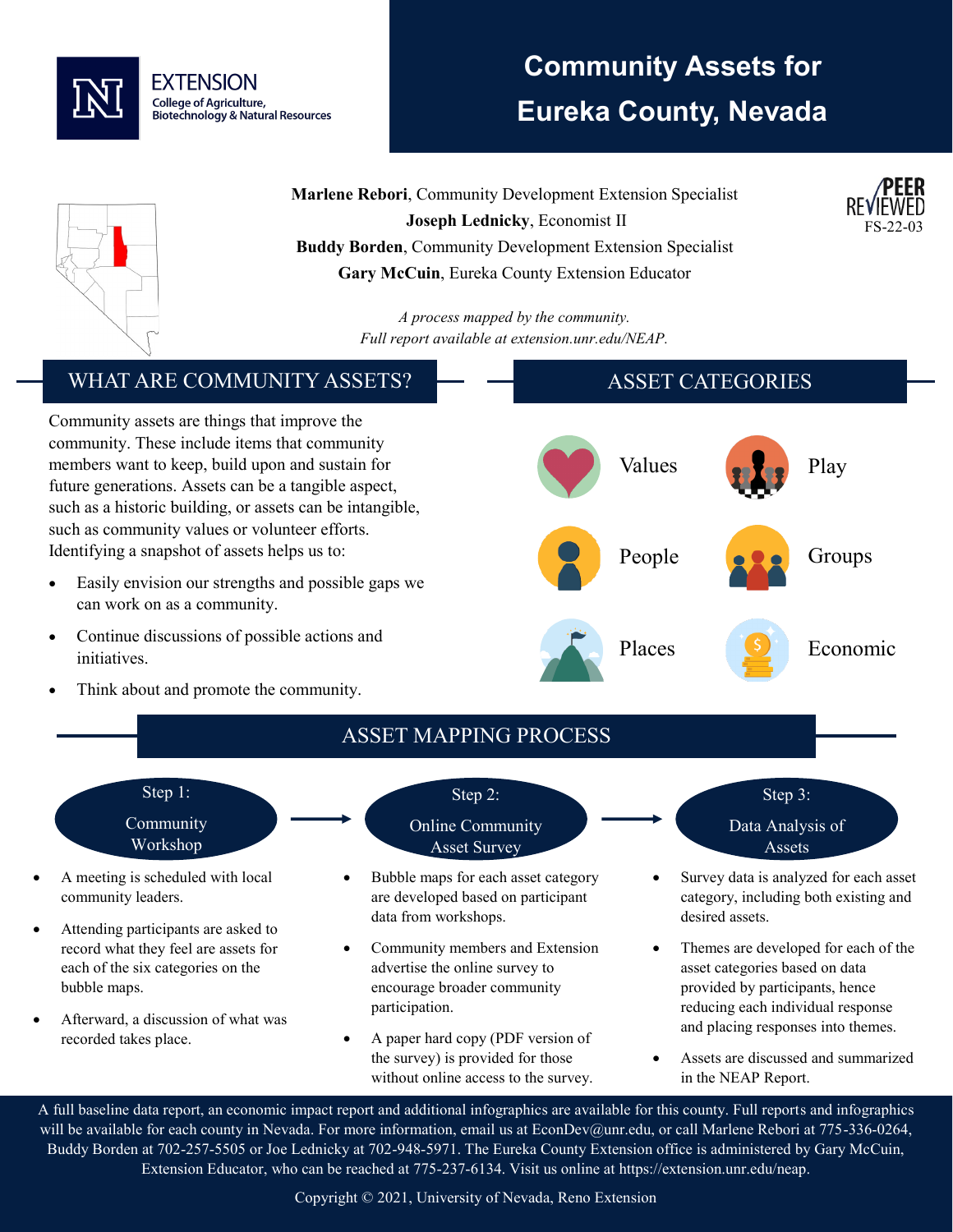

# **Community Assets for Eureka County, Nevada**

FS-22-03

**Marlene Rebori**, Community Development Extension Specialist **Joseph Lednicky**, Economist II **Buddy Borden**, Community Development Extension Specialist **Gary McCuin**, Eureka County Extension Educator

> *A process mapped by the community. Full report available at extension.unr.edu/NEAP.*

#### WHAT ARE COMMUNITY ASSETS?

Community assets are things that improve the community. These include items that community members want to keep, build upon and sustain for future generations. Assets can be a tangible aspect, such as a historic building, or assets can be intangible, such as community values or volunteer efforts. Identifying a snapshot of assets helps us to:

- Easily envision our strengths and possible gaps we can work on as a community.
- Continue discussions of possible actions and initiatives.
- Think about and promote the community.





A full baseline data report, an economic impact report and additional infographics are available for this county. Full reports and infographics will be available for each county in Nevada. For more information, email us at EconDev@unr.edu, or call Marlene Rebori at 775-336-0264, Buddy Borden at 702-257-5505 or Joe Lednicky at 702-948-5971. The Eureka County Extension office is administered by Gary McCuin, Extension Educator, who can be reached at 775-237-6134. Visit us online at https://extension.unr.edu/neap.